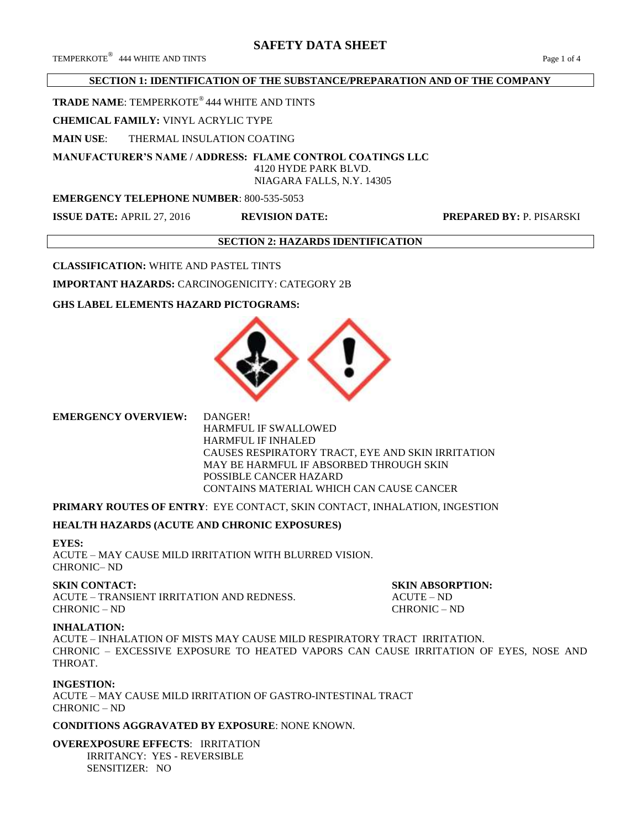# **SECTION 1: IDENTIFICATION OF THE SUBSTANCE/PREPARATION AND OF THE COMPANY**

# **TRADE NAME**: TEMPERKOTE® 444 WHITE AND TINTS

# **CHEMICAL FAMILY:** VINYL ACRYLIC TYPE

**MAIN USE**: THERMAL INSULATION COATING

**MANUFACTURER'S NAME / ADDRESS: FLAME CONTROL COATINGS LLC**

 4120 HYDE PARK BLVD. NIAGARA FALLS, N.Y. 14305

# **EMERGENCY TELEPHONE NUMBER**: 800-535-5053

**ISSUE DATE:** APRIL 27, 2016 **REVISION DATE: PREPARED BY:** P. PISARSKI

# **SECTION 2: HAZARDS IDENTIFICATION**

# **CLASSIFICATION:** WHITE AND PASTEL TINTS

# **IMPORTANT HAZARDS:** CARCINOGENICITY: CATEGORY 2B

# **GHS LABEL ELEMENTS HAZARD PICTOGRAMS:**



## **EMERGENCY OVERVIEW:** DANGER! HARMFUL IF SWALLOWED HARMFUL IF INHALED CAUSES RESPIRATORY TRACT, EYE AND SKIN IRRITATION MAY BE HARMFUL IF ABSORBED THROUGH SKIN POSSIBLE CANCER HAZARD CONTAINS MATERIAL WHICH CAN CAUSE CANCER

# **PRIMARY ROUTES OF ENTRY**: EYE CONTACT, SKIN CONTACT, INHALATION, INGESTION

# **HEALTH HAZARDS (ACUTE AND CHRONIC EXPOSURES)**

# **EYES:**

ACUTE – MAY CAUSE MILD IRRITATION WITH BLURRED VISION. CHRONIC– ND

ACUTE – TRANSIENT IRRITATION AND REDNESS. ACUTE – ND CHRONIC – ND CHRONIC – ND

**SKIN CONTACT: SKIN ABSORPTION:**

# **INHALATION:**

ACUTE – INHALATION OF MISTS MAY CAUSE MILD RESPIRATORY TRACT IRRITATION. CHRONIC – EXCESSIVE EXPOSURE TO HEATED VAPORS CAN CAUSE IRRITATION OF EYES, NOSE AND THROAT.

# **INGESTION:**

ACUTE – MAY CAUSE MILD IRRITATION OF GASTRO-INTESTINAL TRACT CHRONIC – ND

# **CONDITIONS AGGRAVATED BY EXPOSURE**: NONE KNOWN.

**OVEREXPOSURE EFFECTS**: IRRITATION IRRITANCY: YES - REVERSIBLE

SENSITIZER: NO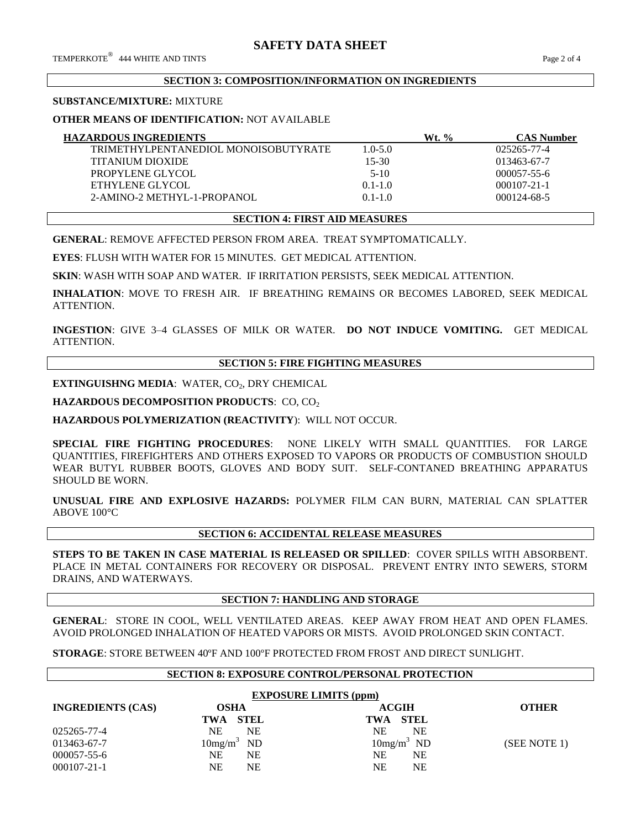## **SECTION 3: COMPOSITION/INFORMATION ON INGREDIENTS**

#### **SUBSTANCE/MIXTURE:** MIXTURE

#### **OTHER MEANS OF IDENTIFICATION:** NOT AVAILABLE

| <b>HAZARDOUS INGREDIENTS</b>         |             | Wt. %<br><b>CAS Number</b> |
|--------------------------------------|-------------|----------------------------|
| TRIMETHYLPENTANEDIOL MONOISOBUTYRATE | $1.0 - 5.0$ | 025265-77-4                |
| <b>TITANIUM DIOXIDE</b>              | $15-30$     | 013463-67-7                |
| PROPYLENE GLYCOL                     | $5-10$      | $000057 - 55 - 6$          |
| ETHYLENE GLYCOL                      | $0.1 - 1.0$ | $000107 - 21 - 1$          |
| 2-AMINO-2 METHYL-1-PROPANOL          | $0.1 - 1.0$ | 000124-68-5                |

#### **SECTION 4: FIRST AID MEASURES**

**GENERAL**: REMOVE AFFECTED PERSON FROM AREA. TREAT SYMPTOMATICALLY.

**EYES**: FLUSH WITH WATER FOR 15 MINUTES. GET MEDICAL ATTENTION.

**SKIN**: WASH WITH SOAP AND WATER. IF IRRITATION PERSISTS, SEEK MEDICAL ATTENTION.

**INHALATION**: MOVE TO FRESH AIR. IF BREATHING REMAINS OR BECOMES LABORED, SEEK MEDICAL ATTENTION.

**INGESTION**: GIVE 3–4 GLASSES OF MILK OR WATER. **DO NOT INDUCE VOMITING.** GET MEDICAL ATTENTION.

#### **SECTION 5: FIRE FIGHTING MEASURES**

**EXTINGUISHNG MEDIA: WATER, CO<sub>2</sub>, DRY CHEMICAL** 

**HAZARDOUS DECOMPOSITION PRODUCTS: CO, CO<sub>2</sub>** 

**HAZARDOUS POLYMERIZATION (REACTIVITY**): WILL NOT OCCUR.

**SPECIAL FIRE FIGHTING PROCEDURES**: NONE LIKELY WITH SMALL QUANTITIES. FOR LARGE QUANTITIES, FIREFIGHTERS AND OTHERS EXPOSED TO VAPORS OR PRODUCTS OF COMBUSTION SHOULD WEAR BUTYL RUBBER BOOTS, GLOVES AND BODY SUIT. SELF-CONTANED BREATHING APPARATUS SHOULD BE WORN.

**UNUSUAL FIRE AND EXPLOSIVE HAZARDS:** POLYMER FILM CAN BURN, MATERIAL CAN SPLATTER ABOVE 100°C

**SECTION 6: ACCIDENTAL RELEASE MEASURES**

**STEPS TO BE TAKEN IN CASE MATERIAL IS RELEASED OR SPILLED**: COVER SPILLS WITH ABSORBENT. PLACE IN METAL CONTAINERS FOR RECOVERY OR DISPOSAL. PREVENT ENTRY INTO SEWERS, STORM DRAINS, AND WATERWAYS.

## **SECTION 7: HANDLING AND STORAGE**

**GENERAL**: STORE IN COOL, WELL VENTILATED AREAS. KEEP AWAY FROM HEAT AND OPEN FLAMES. AVOID PROLONGED INHALATION OF HEATED VAPORS OR MISTS. AVOID PROLONGED SKIN CONTACT.

**STORAGE**: STORE BETWEEN 40ºF AND 100ºF PROTECTED FROM FROST AND DIRECT SUNLIGHT.

## **SECTION 8: EXPOSURE CONTROL/PERSONAL PROTECTION**

|                          |                 | <b>EXPOSURE LIMITS (ppm)</b> |              |
|--------------------------|-----------------|------------------------------|--------------|
| <b>INGREDIENTS (CAS)</b> | <b>OSHA</b>     | ACGIH                        | <b>OTHER</b> |
|                          | TWA STEL        | TWA STEL                     |              |
| 025265-77-4              | <b>NE</b><br>NE | NE<br>NE.                    |              |
| 013463-67-7              | $10mg/m3$ ND    | $10mg/m^3$ ND                | (SEE NOTE 1) |
| 000057-55-6              | NE<br><b>NE</b> | NE<br>NE                     |              |
| $000107 - 21 - 1$        | NΕ<br>NE        | NΕ<br>NΕ                     |              |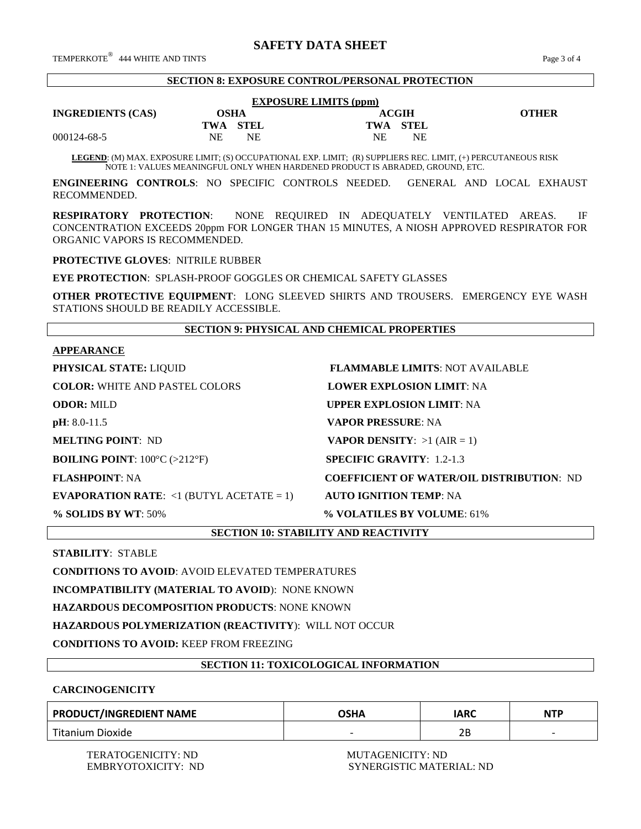TEMPERKOTE<sup>®</sup> 444 WHITE AND TINTS  $P_{\text{age 3 of 4}}$ 

## **SECTION 8: EXPOSURE CONTROL/PERSONAL PROTECTION**

|                          |      |      | <b>EXPOSURE LIMITS (ppm)</b> |              |              |
|--------------------------|------|------|------------------------------|--------------|--------------|
| <b>INGREDIENTS (CAS)</b> | OSHA |      |                              | <b>ACGIH</b> | <b>OTHER</b> |
|                          | TWA  | STEL |                              | TWA STEL     |              |
| 000124-68-5              | NΕ   | NE   | NΕ                           | NΕ           |              |

**LEGEND**: (M) MAX. EXPOSURE LIMIT; (S) OCCUPATIONAL EXP. LIMIT; (R) SUPPLIERS REC. LIMIT, (+) PERCUTANEOUS RISK NOTE 1: VALUES MEANINGFUL ONLY WHEN HARDENED PRODUCT IS ABRADED, GROUND, ETC.

**ENGINEERING CONTROLS**: NO SPECIFIC CONTROLS NEEDED. GENERAL AND LOCAL EXHAUST RECOMMENDED.

**RESPIRATORY PROTECTION**: NONE REQUIRED IN ADEQUATELY VENTILATED AREAS. IF CONCENTRATION EXCEEDS 20ppm FOR LONGER THAN 15 MINUTES, A NIOSH APPROVED RESPIRATOR FOR ORGANIC VAPORS IS RECOMMENDED.

#### **PROTECTIVE GLOVES**: NITRILE RUBBER

**EYE PROTECTION**: SPLASH-PROOF GOGGLES OR CHEMICAL SAFETY GLASSES

**OTHER PROTECTIVE EQUIPMENT**: LONG SLEEVED SHIRTS AND TROUSERS. EMERGENCY EYE WASH STATIONS SHOULD BE READILY ACCESSIBLE.

**SECTION 9: PHYSICAL AND CHEMICAL PROPERTIES**

#### **APPEARANCE**

| PHYSICAL STATE: LIQUID                          | <b>FLAMMABLE LIMITS: NOT AVAILABLE</b>           |
|-------------------------------------------------|--------------------------------------------------|
| <b>COLOR: WHITE AND PASTEL COLORS</b>           | <b>LOWER EXPLOSION LIMIT: NA</b>                 |
| <b>ODOR: MILD</b>                               | <b>UPPER EXPLOSION LIMIT: NA</b>                 |
| $pH: 8.0-11.5$                                  | <b>VAPOR PRESSURE: NA</b>                        |
| <b>MELTING POINT: ND</b>                        | <b>VAPOR DENSITY:</b> $>1$ (AIR = 1)             |
| <b>BOILING POINT:</b> $100^{\circ}$ C (>212°F)  | <b>SPECIFIC GRAVITY: 1.2-1.3</b>                 |
| <b>FLASHPOINT: NA</b>                           | <b>COEFFICIENT OF WATER/OIL DISTRIBUTION: ND</b> |
| <b>EVAPORATION RATE:</b> <1 (BUTYL ACETATE = 1) | <b>AUTO IGNITION TEMP: NA</b>                    |
| $%$ SOLIDS BY WT: 50%                           | % VOLATILES BY VOLUME: 61%                       |

# **SECTION 10: STABILITY AND REACTIVITY**

**STABILITY**: STABLE

**CONDITIONS TO AVOID**: AVOID ELEVATED TEMPERATURES

**INCOMPATIBILITY (MATERIAL TO AVOID**): NONE KNOWN

**HAZARDOUS DECOMPOSITION PRODUCTS**: NONE KNOWN

# **HAZARDOUS POLYMERIZATION (REACTIVITY**): WILL NOT OCCUR

**CONDITIONS TO AVOID:** KEEP FROM FREEZING

# **SECTION 11: TOXICOLOGICAL INFORMATION**

#### **CARCINOGENICITY**

| <b>PRODUCT/INGREDIENT NAME</b> | OSHA | <b>IARC</b> | <b>NTP</b> |
|--------------------------------|------|-------------|------------|
| Titanium Dioxide               |      | םר<br>ں ے   |            |

TERATOGENICITY: ND MUTAGENICITY: ND

EMBRYOTOXICITY: ND SYNERGISTIC MATERIAL: ND